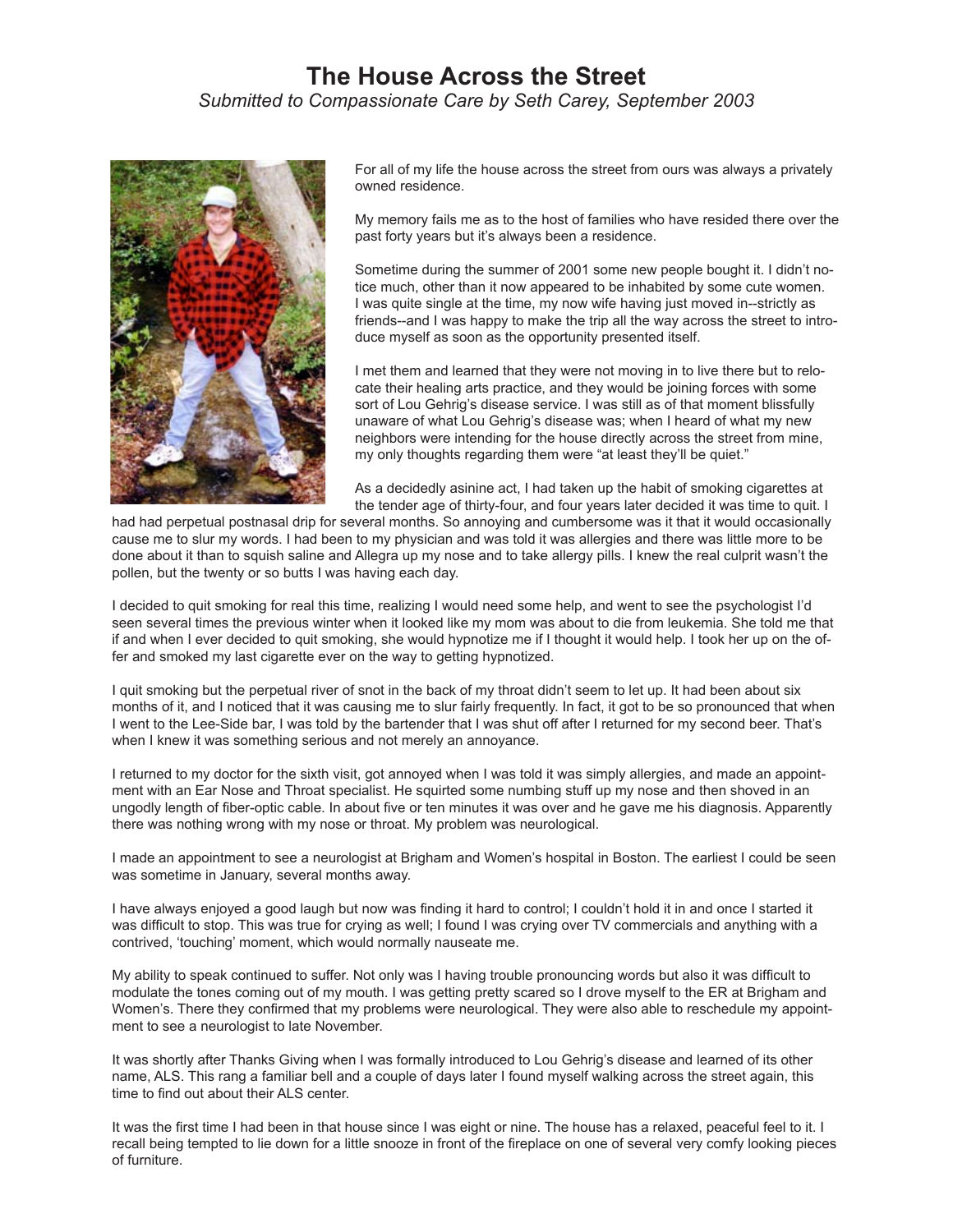## **The House Across the Street** *Submitted to Compassionate Care by Seth Carey, September 2003*



For all of my life the house across the street from ours was always a privately owned residence.

My memory fails me as to the host of families who have resided there over the past forty years but it's always been a residence.

Sometime during the summer of 2001 some new people bought it. I didn't notice much, other than it now appeared to be inhabited by some cute women. I was quite single at the time, my now wife having just moved in--strictly as friends--and I was happy to make the trip all the way across the street to introduce myself as soon as the opportunity presented itself.

I met them and learned that they were not moving in to live there but to relocate their healing arts practice, and they would be joining forces with some sort of Lou Gehrig's disease service. I was still as of that moment blissfully unaware of what Lou Gehrig's disease was; when I heard of what my new neighbors were intending for the house directly across the street from mine, my only thoughts regarding them were "at least they'll be quiet."

As a decidedly asinine act, I had taken up the habit of smoking cigarettes at the tender age of thirty-four, and four years later decided it was time to quit. I

had had perpetual postnasal drip for several months. So annoying and cumbersome was it that it would occasionally cause me to slur my words. I had been to my physician and was told it was allergies and there was little more to be done about it than to squish saline and Allegra up my nose and to take allergy pills. I knew the real culprit wasn't the pollen, but the twenty or so butts I was having each day.

I decided to quit smoking for real this time, realizing I would need some help, and went to see the psychologist I'd seen several times the previous winter when it looked like my mom was about to die from leukemia. She told me that if and when I ever decided to quit smoking, she would hypnotize me if I thought it would help. I took her up on the offer and smoked my last cigarette ever on the way to getting hypnotized.

I quit smoking but the perpetual river of snot in the back of my throat didn't seem to let up. It had been about six months of it, and I noticed that it was causing me to slur fairly frequently. In fact, it got to be so pronounced that when I went to the Lee-Side bar, I was told by the bartender that I was shut off after I returned for my second beer. That's when I knew it was something serious and not merely an annoyance.

I returned to my doctor for the sixth visit, got annoyed when I was told it was simply allergies, and made an appointment with an Ear Nose and Throat specialist. He squirted some numbing stuff up my nose and then shoved in an ungodly length of fiber-optic cable. In about five or ten minutes it was over and he gave me his diagnosis. Apparently there was nothing wrong with my nose or throat. My problem was neurological.

I made an appointment to see a neurologist at Brigham and Women's hospital in Boston. The earliest I could be seen was sometime in January, several months away.

I have always enjoyed a good laugh but now was finding it hard to control; I couldn't hold it in and once I started it was difficult to stop. This was true for crying as well; I found I was crying over TV commercials and anything with a contrived, 'touching' moment, which would normally nauseate me.

My ability to speak continued to suffer. Not only was I having trouble pronouncing words but also it was difficult to modulate the tones coming out of my mouth. I was getting pretty scared so I drove myself to the ER at Brigham and Women's. There they confirmed that my problems were neurological. They were also able to reschedule my appointment to see a neurologist to late November.

It was shortly after Thanks Giving when I was formally introduced to Lou Gehrig's disease and learned of its other name, ALS. This rang a familiar bell and a couple of days later I found myself walking across the street again, this time to find out about their ALS center.

It was the first time I had been in that house since I was eight or nine. The house has a relaxed, peaceful feel to it. I recall being tempted to lie down for a little snooze in front of the fireplace on one of several very comfy looking pieces of furniture.